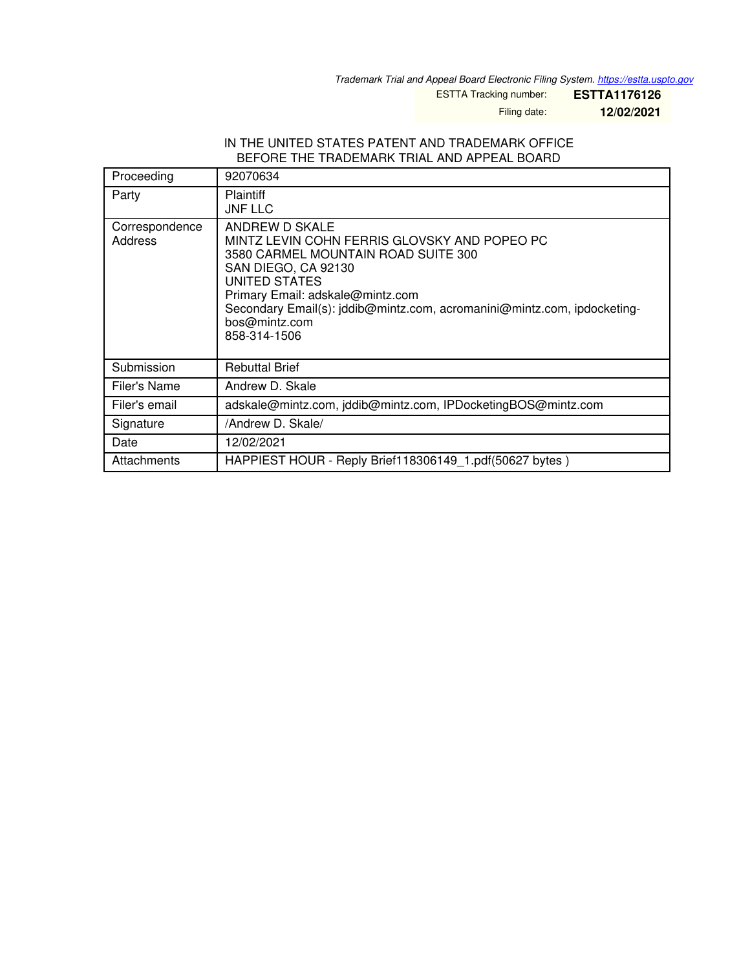*Trademark Trial and Appeal Board Electronic Filing System. <https://estta.uspto.gov>*

ESTTA Tracking number: **ESTTA1176126**

Filing date: **12/02/2021**

### IN THE UNITED STATES PATENT AND TRADEMARK OFFICE BEFORE THE TRADEMARK TRIAL AND APPEAL BOARD

| Proceeding                | 92070634                                                                                                                                                                                                                                                                                      |  |
|---------------------------|-----------------------------------------------------------------------------------------------------------------------------------------------------------------------------------------------------------------------------------------------------------------------------------------------|--|
| Party                     | <b>Plaintiff</b><br><b>JNF LLC</b>                                                                                                                                                                                                                                                            |  |
| Correspondence<br>Address | ANDREW D SKALE<br>MINTZ LEVIN COHN FERRIS GLOVSKY AND POPEO PC<br>3580 CARMEL MOUNTAIN ROAD SUITE 300<br>SAN DIEGO, CA 92130<br>UNITED STATES<br>Primary Email: adskale@mintz.com<br>Secondary Email(s): jddib@mintz.com, acromanini@mintz.com, ipdocketing-<br>bos@mintz.com<br>858-314-1506 |  |
| Submission                | <b>Rebuttal Brief</b>                                                                                                                                                                                                                                                                         |  |
| Filer's Name              | Andrew D. Skale                                                                                                                                                                                                                                                                               |  |
| Filer's email             | adskale@mintz.com, jddib@mintz.com, IPDocketingBOS@mintz.com                                                                                                                                                                                                                                  |  |
| Signature                 | /Andrew D. Skale/                                                                                                                                                                                                                                                                             |  |
| Date                      | 12/02/2021                                                                                                                                                                                                                                                                                    |  |
| Attachments               | HAPPIEST HOUR - Reply Brief118306149 1.pdf(50627 bytes)                                                                                                                                                                                                                                       |  |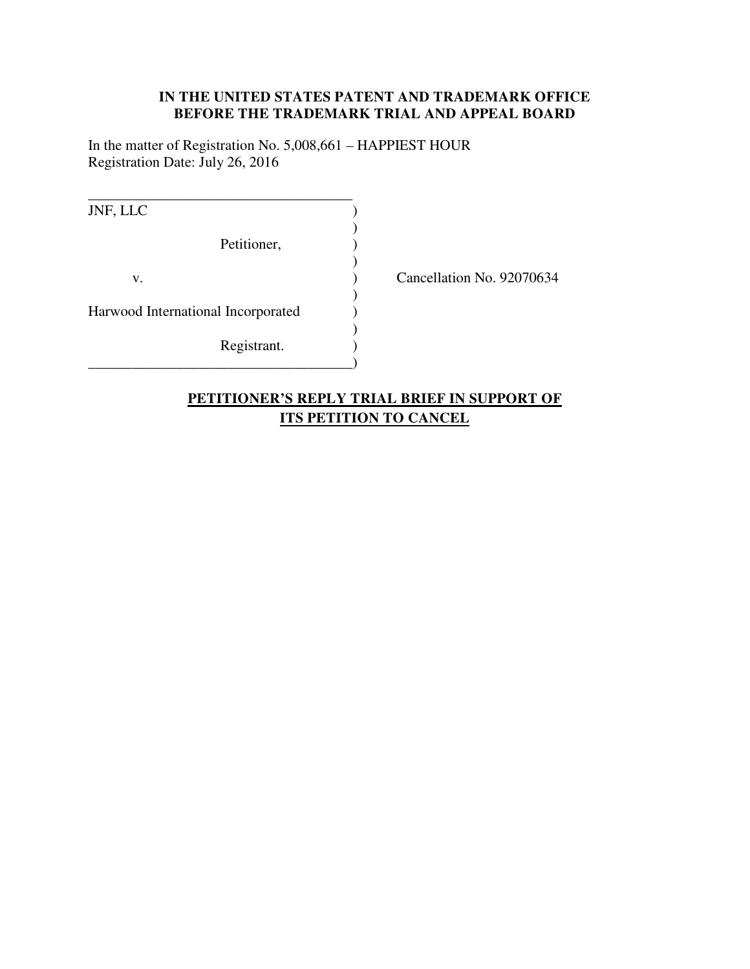# **IN THE UNITED STATES PATENT AND TRADEMARK OFFICE BEFORE THE TRADEMARK TRIAL AND APPEAL BOARD**

In the matter of Registration No. 5,008,661 – HAPPIEST HOUR Registration Date: July 26, 2016

| JNF, LLC                           |             |  |
|------------------------------------|-------------|--|
|                                    | Petitioner, |  |
| v.                                 |             |  |
| Harwood International Incorporated |             |  |
|                                    | Registrant. |  |

Cancellation No. 92070634

# **PETITIONER'S REPLY TRIAL BRIEF IN SUPPORT OF ITS PETITION TO CANCEL**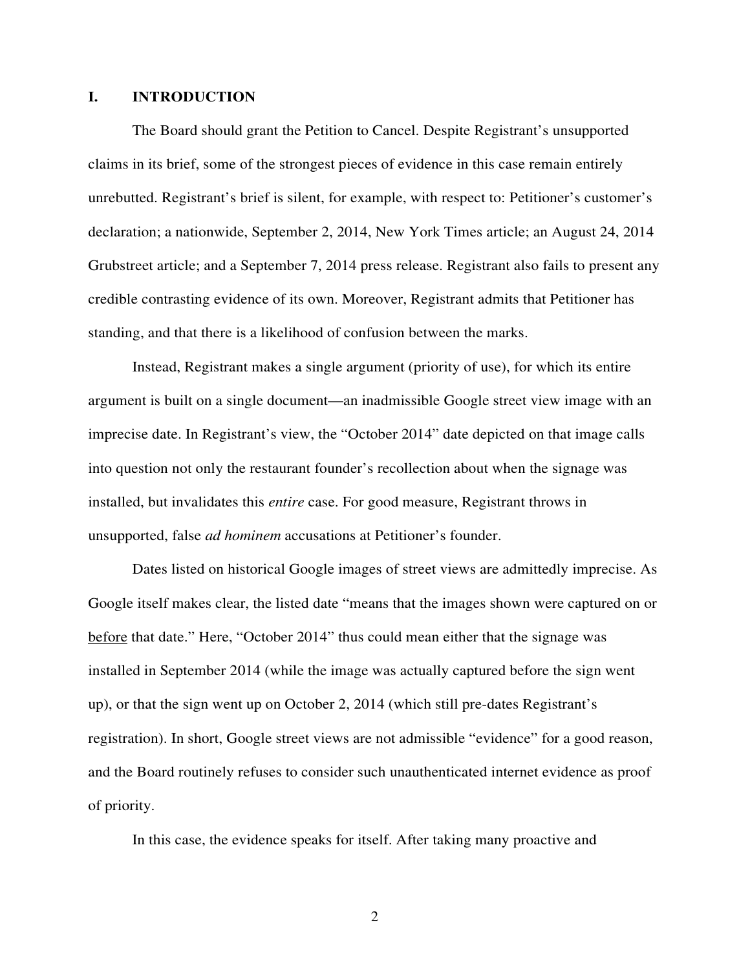# **I. INTRODUCTION**

The Board should grant the Petition to Cancel. Despite Registrant's unsupported claims in its brief, some of the strongest pieces of evidence in this case remain entirely unrebutted. Registrant's brief is silent, for example, with respect to: Petitioner's customer's declaration; a nationwide, September 2, 2014, New York Times article; an August 24, 2014 Grubstreet article; and a September 7, 2014 press release. Registrant also fails to present any credible contrasting evidence of its own. Moreover, Registrant admits that Petitioner has standing, and that there is a likelihood of confusion between the marks.

Instead, Registrant makes a single argument (priority of use), for which its entire argument is built on a single document—an inadmissible Google street view image with an imprecise date. In Registrant's view, the "October 2014" date depicted on that image calls into question not only the restaurant founder's recollection about when the signage was installed, but invalidates this *entire* case. For good measure, Registrant throws in unsupported, false *ad hominem* accusations at Petitioner's founder.

Dates listed on historical Google images of street views are admittedly imprecise. As Google itself makes clear, the listed date "means that the images shown were captured on or before that date." Here, "October 2014" thus could mean either that the signage was installed in September 2014 (while the image was actually captured before the sign went up), or that the sign went up on October 2, 2014 (which still pre-dates Registrant's registration). In short, Google street views are not admissible "evidence" for a good reason, and the Board routinely refuses to consider such unauthenticated internet evidence as proof of priority.

In this case, the evidence speaks for itself. After taking many proactive and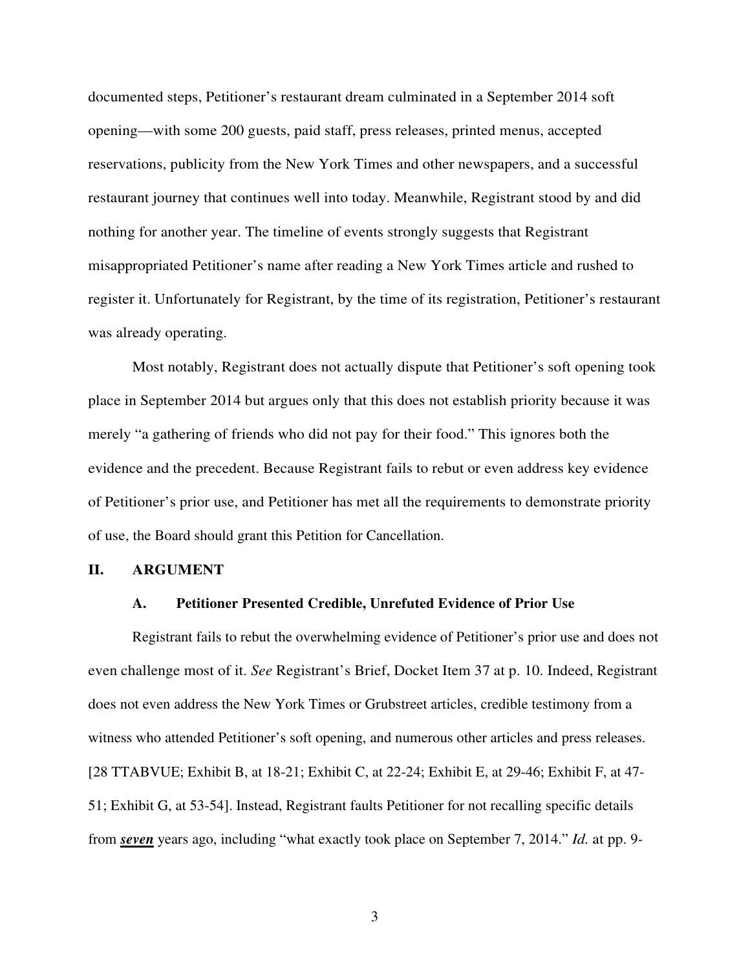documented steps, Petitioner's restaurant dream culminated in a September 2014 soft opening—with some 200 guests, paid staff, press releases, printed menus, accepted reservations, publicity from the New York Times and other newspapers, and a successful restaurant journey that continues well into today. Meanwhile, Registrant stood by and did nothing for another year. The timeline of events strongly suggests that Registrant misappropriated Petitioner's name after reading a New York Times article and rushed to register it. Unfortunately for Registrant, by the time of its registration, Petitioner's restaurant was already operating.

Most notably, Registrant does not actually dispute that Petitioner's soft opening took place in September 2014 but argues only that this does not establish priority because it was merely "a gathering of friends who did not pay for their food." This ignores both the evidence and the precedent. Because Registrant fails to rebut or even address key evidence of Petitioner's prior use, and Petitioner has met all the requirements to demonstrate priority of use, the Board should grant this Petition for Cancellation.

### **II. ARGUMENT**

#### **A. Petitioner Presented Credible, Unrefuted Evidence of Prior Use**

Registrant fails to rebut the overwhelming evidence of Petitioner's prior use and does not even challenge most of it. *See* Registrant's Brief, Docket Item 37 at p. 10. Indeed, Registrant does not even address the New York Times or Grubstreet articles, credible testimony from a witness who attended Petitioner's soft opening, and numerous other articles and press releases. [28 TTABVUE; Exhibit B, at 18-21; Exhibit C, at 22-24; Exhibit E, at 29-46; Exhibit F, at 47- 51; Exhibit G, at 53-54]. Instead, Registrant faults Petitioner for not recalling specific details from *seven* years ago, including "what exactly took place on September 7, 2014." *Id.* at pp. 9-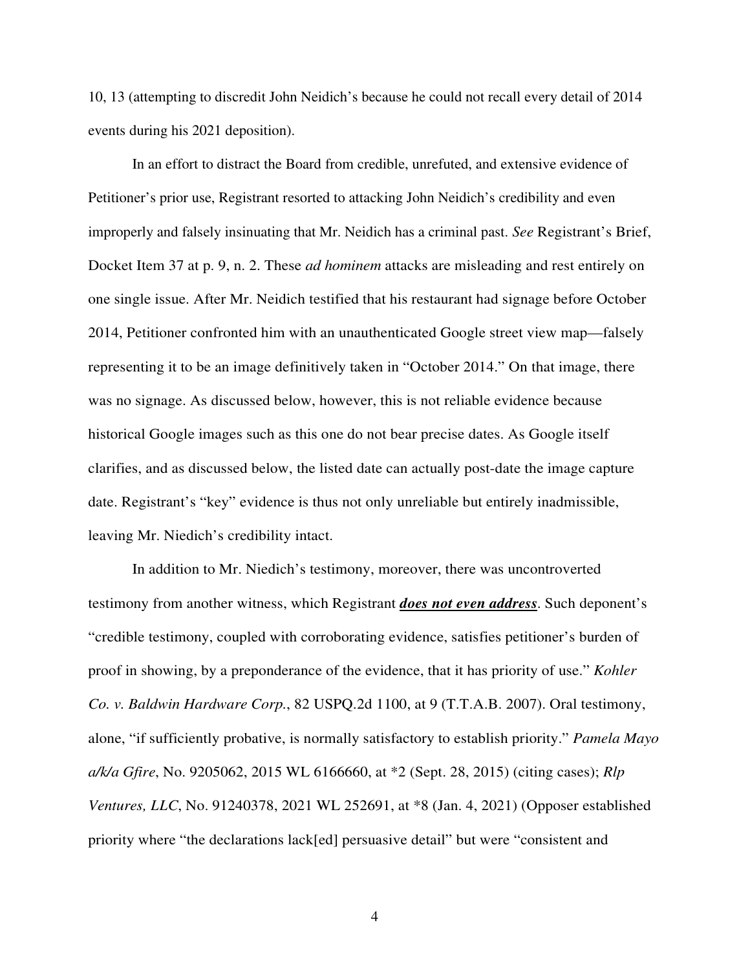10, 13 (attempting to discredit John Neidich's because he could not recall every detail of 2014 events during his 2021 deposition).

In an effort to distract the Board from credible, unrefuted, and extensive evidence of Petitioner's prior use, Registrant resorted to attacking John Neidich's credibility and even improperly and falsely insinuating that Mr. Neidich has a criminal past. *See* Registrant's Brief, Docket Item 37 at p. 9, n. 2. These *ad hominem* attacks are misleading and rest entirely on one single issue. After Mr. Neidich testified that his restaurant had signage before October 2014, Petitioner confronted him with an unauthenticated Google street view map—falsely representing it to be an image definitively taken in "October 2014." On that image, there was no signage. As discussed below, however, this is not reliable evidence because historical Google images such as this one do not bear precise dates. As Google itself clarifies, and as discussed below, the listed date can actually post-date the image capture date. Registrant's "key" evidence is thus not only unreliable but entirely inadmissible, leaving Mr. Niedich's credibility intact.

In addition to Mr. Niedich's testimony, moreover, there was uncontroverted testimony from another witness, which Registrant *does not even address*. Such deponent's "credible testimony, coupled with corroborating evidence, satisfies petitioner's burden of proof in showing, by a preponderance of the evidence, that it has priority of use." *Kohler Co. v. Baldwin Hardware Corp.*, 82 USPQ.2d 1100, at 9 (T.T.A.B. 2007). Oral testimony, alone, "if sufficiently probative, is normally satisfactory to establish priority." *Pamela Mayo a/k/a Gfire*, No. 9205062, 2015 WL 6166660, at \*2 (Sept. 28, 2015) (citing cases); *Rlp Ventures, LLC*, No. 91240378, 2021 WL 252691, at \*8 (Jan. 4, 2021) (Opposer established priority where "the declarations lack[ed] persuasive detail" but were "consistent and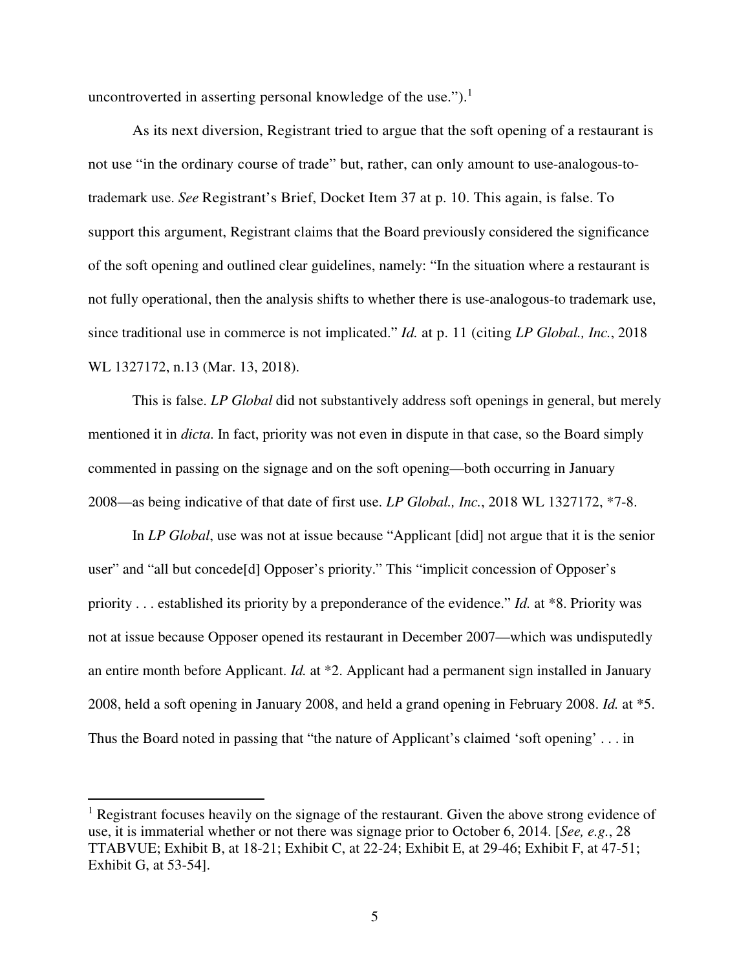uncontroverted in asserting personal knowledge of the use." $)$ .<sup>1</sup>

As its next diversion, Registrant tried to argue that the soft opening of a restaurant is not use "in the ordinary course of trade" but, rather, can only amount to use-analogous-totrademark use. *See* Registrant's Brief, Docket Item 37 at p. 10. This again, is false. To support this argument, Registrant claims that the Board previously considered the significance of the soft opening and outlined clear guidelines, namely: "In the situation where a restaurant is not fully operational, then the analysis shifts to whether there is use-analogous-to trademark use, since traditional use in commerce is not implicated." *Id.* at p. 11 (citing *LP Global., Inc.*, 2018 WL 1327172, n.13 (Mar. 13, 2018).

This is false. *LP Global* did not substantively address soft openings in general, but merely mentioned it in *dicta*. In fact, priority was not even in dispute in that case, so the Board simply commented in passing on the signage and on the soft opening—both occurring in January 2008—as being indicative of that date of first use. *LP Global., Inc.*, 2018 WL 1327172, \*7-8.

In *LP Global*, use was not at issue because "Applicant [did] not argue that it is the senior user" and "all but concede[d] Opposer's priority." This "implicit concession of Opposer's priority . . . established its priority by a preponderance of the evidence." *Id.* at \*8. Priority was not at issue because Opposer opened its restaurant in December 2007—which was undisputedly an entire month before Applicant. *Id.* at \*2. Applicant had a permanent sign installed in January 2008, held a soft opening in January 2008, and held a grand opening in February 2008. *Id.* at \*5. Thus the Board noted in passing that "the nature of Applicant's claimed 'soft opening' . . . in

<sup>&</sup>lt;sup>1</sup> Registrant focuses heavily on the signage of the restaurant. Given the above strong evidence of use, it is immaterial whether or not there was signage prior to October 6, 2014. [*See, e.g.*, 28 TTABVUE; Exhibit B, at 18-21; Exhibit C, at 22-24; Exhibit E, at 29-46; Exhibit F, at 47-51; Exhibit G, at 53-54].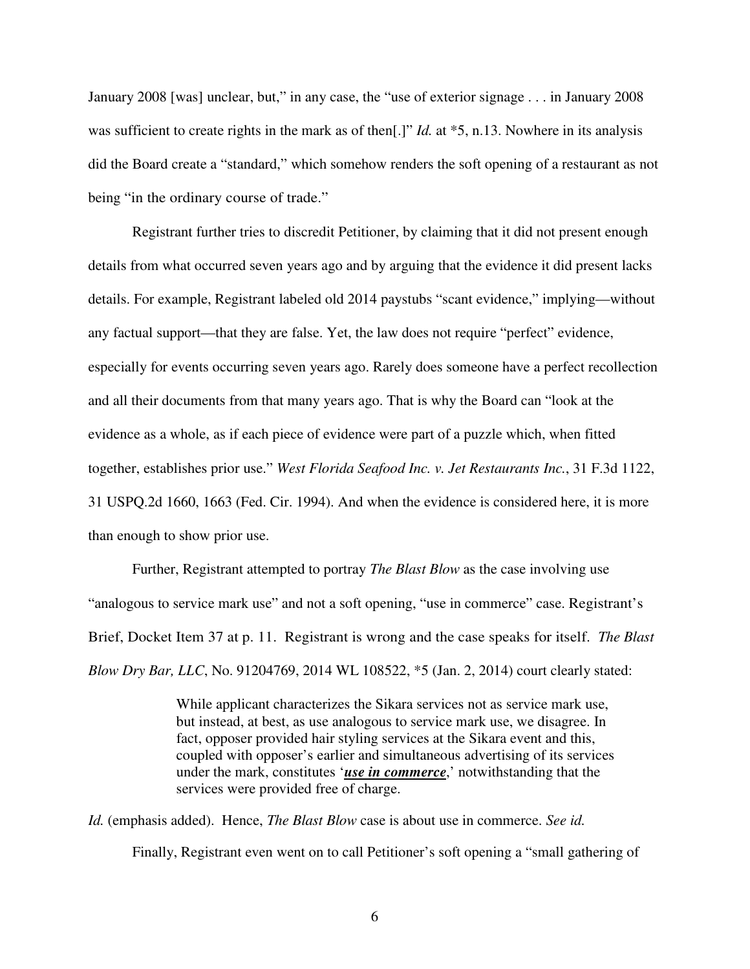January 2008 [was] unclear, but," in any case, the "use of exterior signage . . . in January 2008 was sufficient to create rights in the mark as of then<sup>[1]</sup> *Id.* at \*5, n.13. Nowhere in its analysis did the Board create a "standard," which somehow renders the soft opening of a restaurant as not being "in the ordinary course of trade."

Registrant further tries to discredit Petitioner, by claiming that it did not present enough details from what occurred seven years ago and by arguing that the evidence it did present lacks details. For example, Registrant labeled old 2014 paystubs "scant evidence," implying—without any factual support—that they are false. Yet, the law does not require "perfect" evidence, especially for events occurring seven years ago. Rarely does someone have a perfect recollection and all their documents from that many years ago. That is why the Board can "look at the evidence as a whole, as if each piece of evidence were part of a puzzle which, when fitted together, establishes prior use." *West Florida Seafood Inc. v. Jet Restaurants Inc.*, 31 F.3d 1122, 31 USPQ.2d 1660, 1663 (Fed. Cir. 1994). And when the evidence is considered here, it is more than enough to show prior use.

Further, Registrant attempted to portray *The Blast Blow* as the case involving use "analogous to service mark use" and not a soft opening, "use in commerce" case. Registrant's Brief, Docket Item 37 at p. 11. Registrant is wrong and the case speaks for itself. *The Blast Blow Dry Bar, LLC*, No. 91204769, 2014 WL 108522, \*5 (Jan. 2, 2014) court clearly stated:

> While applicant characterizes the Sikara services not as service mark use, but instead, at best, as use analogous to service mark use, we disagree. In fact, opposer provided hair styling services at the Sikara event and this, coupled with opposer's earlier and simultaneous advertising of its services under the mark, constitutes '*use in commerce*,' notwithstanding that the services were provided free of charge.

*Id.* (emphasis added). Hence, *The Blast Blow* case is about use in commerce. *See id.*  Finally, Registrant even went on to call Petitioner's soft opening a "small gathering of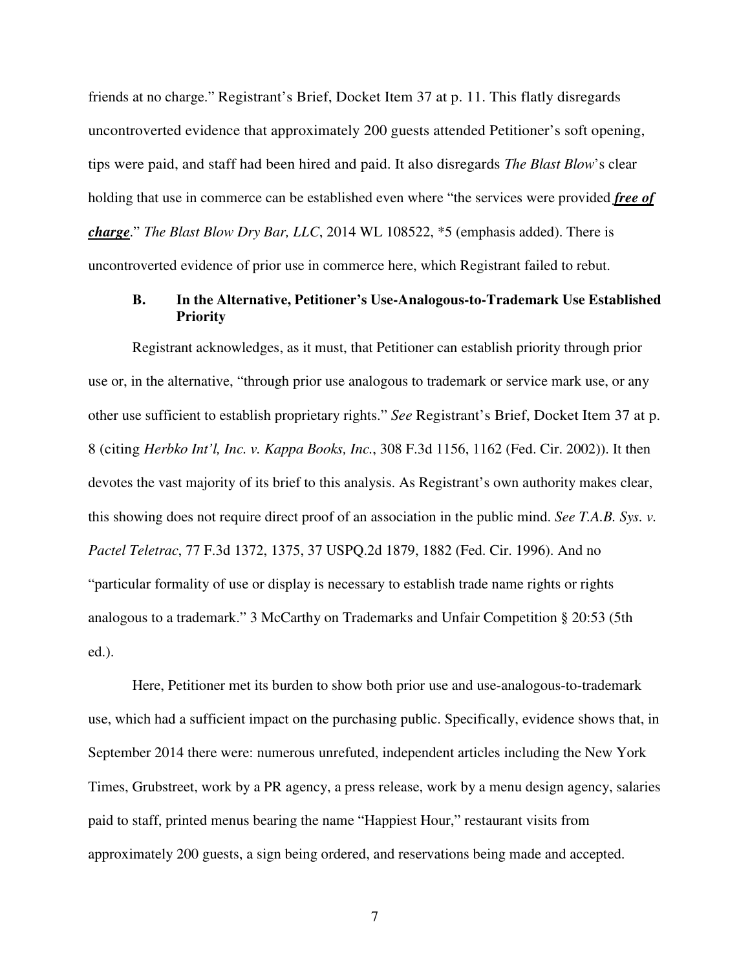friends at no charge." Registrant's Brief, Docket Item 37 at p. 11. This flatly disregards uncontroverted evidence that approximately 200 guests attended Petitioner's soft opening, tips were paid, and staff had been hired and paid. It also disregards *The Blast Blow*'s clear holding that use in commerce can be established even where "the services were provided *free of charge*." *The Blast Blow Dry Bar, LLC*, 2014 WL 108522, \*5 (emphasis added). There is uncontroverted evidence of prior use in commerce here, which Registrant failed to rebut.

# **B. In the Alternative, Petitioner's Use-Analogous-to-Trademark Use Established Priority**

Registrant acknowledges, as it must, that Petitioner can establish priority through prior use or, in the alternative, "through prior use analogous to trademark or service mark use, or any other use sufficient to establish proprietary rights." *See* Registrant's Brief, Docket Item 37 at p. 8 (citing *Herbko Int'l, Inc. v. Kappa Books, Inc.*, 308 F.3d 1156, 1162 (Fed. Cir. 2002)). It then devotes the vast majority of its brief to this analysis. As Registrant's own authority makes clear, this showing does not require direct proof of an association in the public mind. *See T.A.B. Sys. v. Pactel Teletrac*, 77 F.3d 1372, 1375, 37 USPQ.2d 1879, 1882 (Fed. Cir. 1996). And no "particular formality of use or display is necessary to establish trade name rights or rights analogous to a trademark." 3 McCarthy on Trademarks and Unfair Competition § 20:53 (5th ed.).

Here, Petitioner met its burden to show both prior use and use-analogous-to-trademark use, which had a sufficient impact on the purchasing public. Specifically, evidence shows that, in September 2014 there were: numerous unrefuted, independent articles including the New York Times, Grubstreet, work by a PR agency, a press release, work by a menu design agency, salaries paid to staff, printed menus bearing the name "Happiest Hour," restaurant visits from approximately 200 guests, a sign being ordered, and reservations being made and accepted.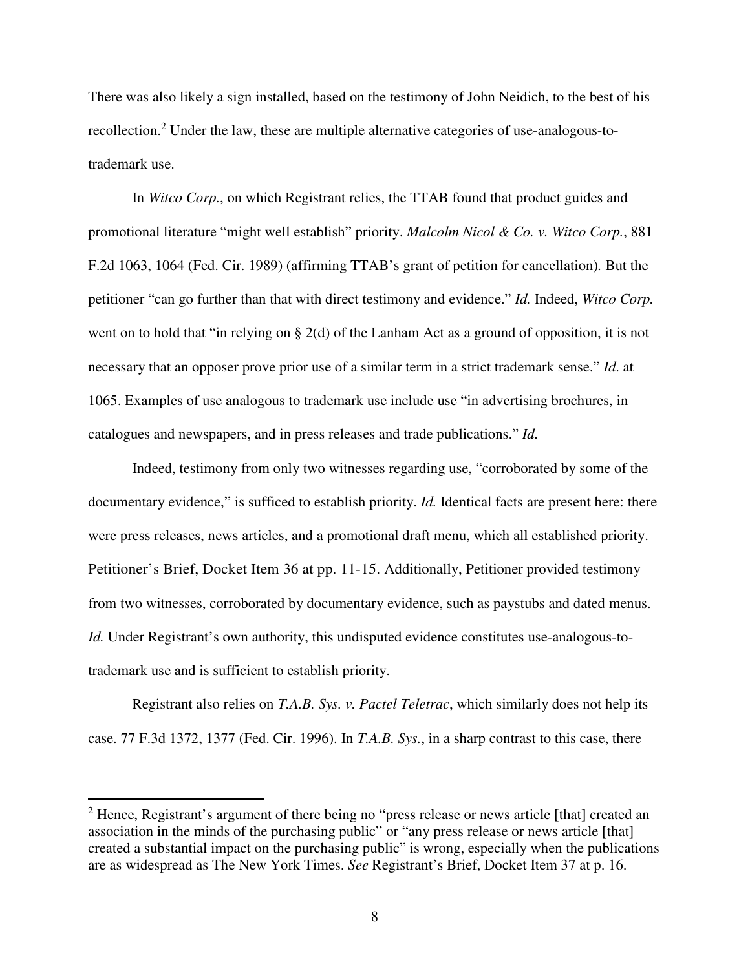There was also likely a sign installed, based on the testimony of John Neidich, to the best of his recollection.<sup>2</sup> Under the law, these are multiple alternative categories of use-analogous-totrademark use.

In *Witco Corp.*, on which Registrant relies, the TTAB found that product guides and promotional literature "might well establish" priority. *Malcolm Nicol & Co. v. Witco Corp.*, 881 F.2d 1063, 1064 (Fed. Cir. 1989) (affirming TTAB's grant of petition for cancellation)*.* But the petitioner "can go further than that with direct testimony and evidence." *Id.* Indeed, *Witco Corp.* went on to hold that "in relying on § 2(d) of the Lanham Act as a ground of opposition, it is not necessary that an opposer prove prior use of a similar term in a strict trademark sense." *Id*. at 1065. Examples of use analogous to trademark use include use "in advertising brochures, in catalogues and newspapers, and in press releases and trade publications." *Id.*

Indeed, testimony from only two witnesses regarding use, "corroborated by some of the documentary evidence," is sufficed to establish priority. *Id.* Identical facts are present here: there were press releases, news articles, and a promotional draft menu, which all established priority. Petitioner's Brief, Docket Item 36 at pp. 11-15. Additionally, Petitioner provided testimony from two witnesses, corroborated by documentary evidence, such as paystubs and dated menus. *Id.* Under Registrant's own authority, this undisputed evidence constitutes use-analogous-totrademark use and is sufficient to establish priority.

Registrant also relies on *T.A.B. Sys. v. Pactel Teletrac*, which similarly does not help its case. 77 F.3d 1372, 1377 (Fed. Cir. 1996). In *T.A.B. Sys.*, in a sharp contrast to this case, there

 $2$  Hence, Registrant's argument of there being no "press release or news article [that] created an association in the minds of the purchasing public" or "any press release or news article [that] created a substantial impact on the purchasing public" is wrong, especially when the publications are as widespread as The New York Times. *See* Registrant's Brief, Docket Item 37 at p. 16.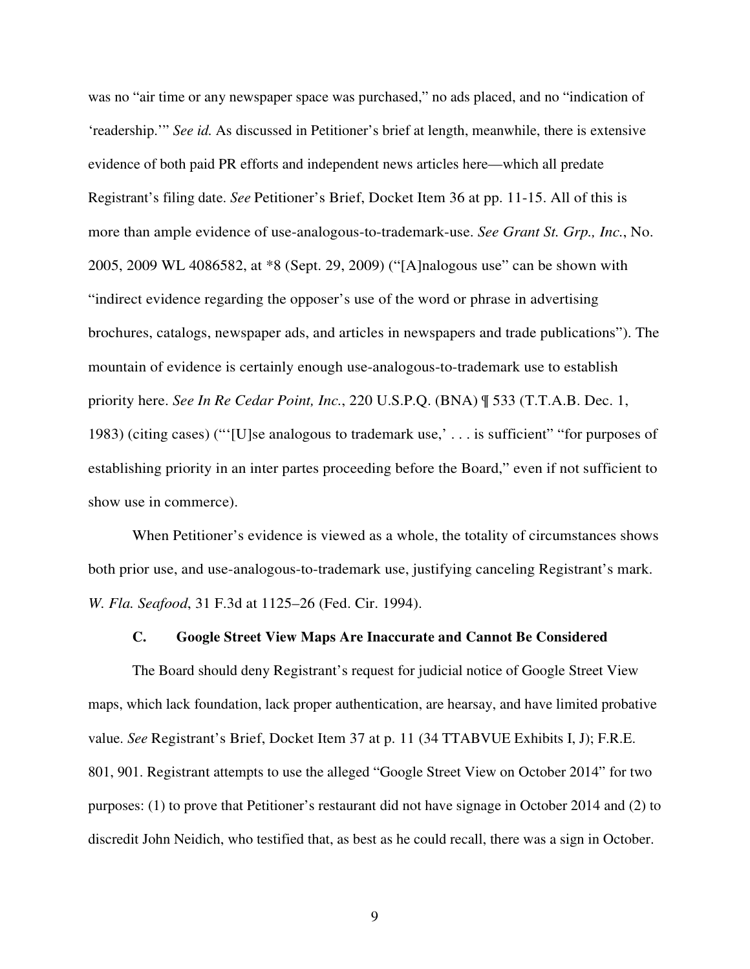was no "air time or any newspaper space was purchased," no ads placed, and no "indication of 'readership.'" *See id.* As discussed in Petitioner's brief at length, meanwhile, there is extensive evidence of both paid PR efforts and independent news articles here—which all predate Registrant's filing date. *See* Petitioner's Brief, Docket Item 36 at pp. 11-15. All of this is more than ample evidence of use-analogous-to-trademark-use. *See Grant St. Grp., Inc.*, No. 2005, 2009 WL 4086582, at \*8 (Sept. 29, 2009) ("[A]nalogous use" can be shown with "indirect evidence regarding the opposer's use of the word or phrase in advertising brochures, catalogs, newspaper ads, and articles in newspapers and trade publications"). The mountain of evidence is certainly enough use-analogous-to-trademark use to establish priority here. *See In Re Cedar Point, Inc.*, 220 U.S.P.Q. (BNA) ¶ 533 (T.T.A.B. Dec. 1, 1983) (citing cases) ("'[U]se analogous to trademark use,' . . . is sufficient" "for purposes of establishing priority in an inter partes proceeding before the Board," even if not sufficient to show use in commerce).

When Petitioner's evidence is viewed as a whole, the totality of circumstances shows both prior use, and use-analogous-to-trademark use, justifying canceling Registrant's mark. *W. Fla. Seafood*, 31 F.3d at 1125–26 (Fed. Cir. 1994).

## **C. Google Street View Maps Are Inaccurate and Cannot Be Considered**

The Board should deny Registrant's request for judicial notice of Google Street View maps, which lack foundation, lack proper authentication, are hearsay, and have limited probative value. *See* Registrant's Brief, Docket Item 37 at p. 11 (34 TTABVUE Exhibits I, J); F.R.E. 801, 901. Registrant attempts to use the alleged "Google Street View on October 2014" for two purposes: (1) to prove that Petitioner's restaurant did not have signage in October 2014 and (2) to discredit John Neidich, who testified that, as best as he could recall, there was a sign in October.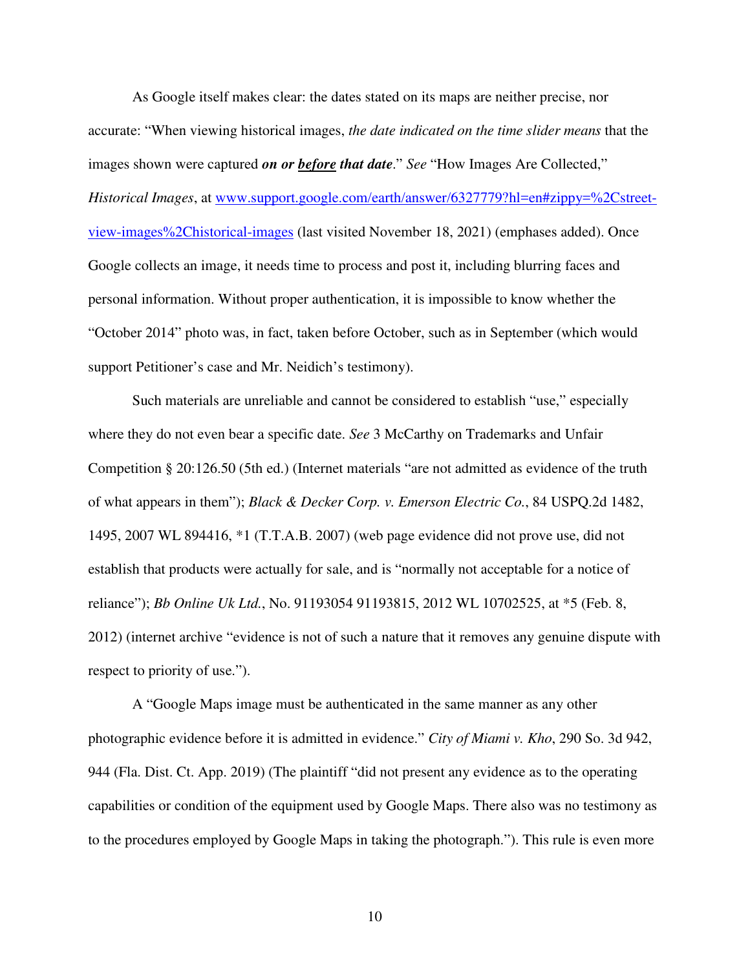As Google itself makes clear: the dates stated on its maps are neither precise, nor accurate: "When viewing historical images, *the date indicated on the time slider means* that the images shown were captured *on or before that date*." *See* "How Images Are Collected," *Historical Images*, at www.support.google.com/earth/answer/6327779?hl=en#zippy=%2Cstreetview-images%2Chistorical-images (last visited November 18, 2021) (emphases added). Once Google collects an image, it needs time to process and post it, including blurring faces and personal information. Without proper authentication, it is impossible to know whether the "October 2014" photo was, in fact, taken before October, such as in September (which would support Petitioner's case and Mr. Neidich's testimony).

Such materials are unreliable and cannot be considered to establish "use," especially where they do not even bear a specific date. *See* 3 McCarthy on Trademarks and Unfair Competition § 20:126.50 (5th ed.) (Internet materials "are not admitted as evidence of the truth of what appears in them"); *Black & Decker Corp. v. Emerson Electric Co.*, 84 USPQ.2d 1482, 1495, 2007 WL 894416, \*1 (T.T.A.B. 2007) (web page evidence did not prove use, did not establish that products were actually for sale, and is "normally not acceptable for a notice of reliance"); *Bb Online Uk Ltd.*, No. 91193054 91193815, 2012 WL 10702525, at \*5 (Feb. 8, 2012) (internet archive "evidence is not of such a nature that it removes any genuine dispute with respect to priority of use.").

A "Google Maps image must be authenticated in the same manner as any other photographic evidence before it is admitted in evidence." *City of Miami v. Kho*, 290 So. 3d 942, 944 (Fla. Dist. Ct. App. 2019) (The plaintiff "did not present any evidence as to the operating capabilities or condition of the equipment used by Google Maps. There also was no testimony as to the procedures employed by Google Maps in taking the photograph."). This rule is even more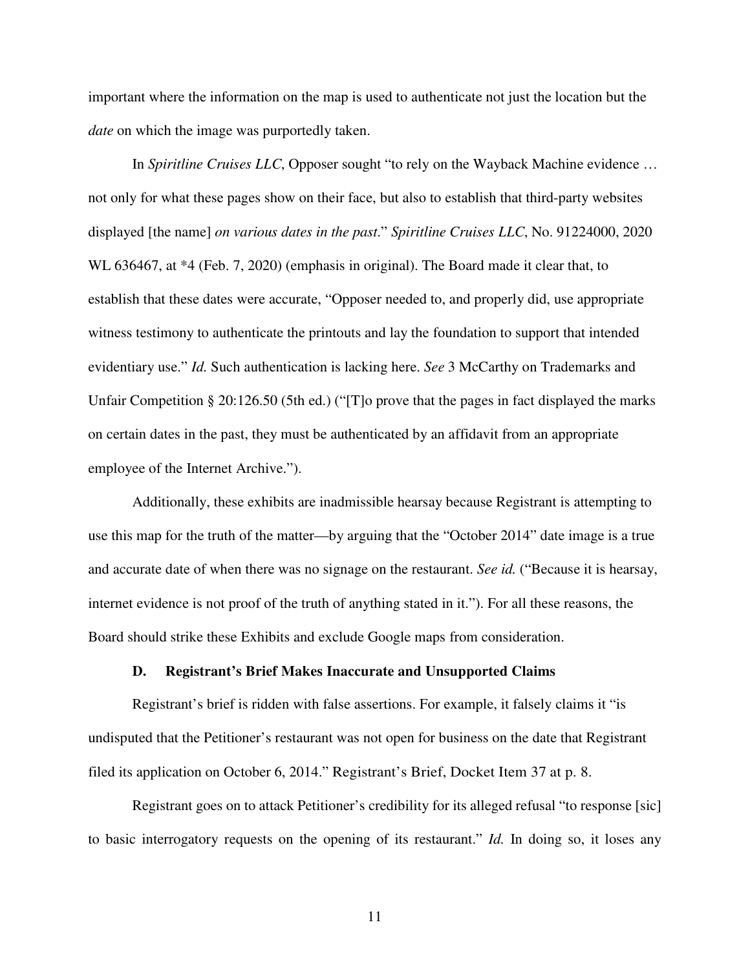important where the information on the map is used to authenticate not just the location but the *date* on which the image was purportedly taken.

In *Spiritline Cruises LLC*, Opposer sought "to rely on the Wayback Machine evidence … not only for what these pages show on their face, but also to establish that third-party websites displayed [the name] *on various dates in the past*." *Spiritline Cruises LLC*, No. 91224000, 2020 WL 636467, at \*4 (Feb. 7, 2020) (emphasis in original). The Board made it clear that, to establish that these dates were accurate, "Opposer needed to, and properly did, use appropriate witness testimony to authenticate the printouts and lay the foundation to support that intended evidentiary use." *Id.* Such authentication is lacking here. *See* 3 McCarthy on Trademarks and Unfair Competition § 20:126.50 (5th ed.) ("[T]o prove that the pages in fact displayed the marks on certain dates in the past, they must be authenticated by an affidavit from an appropriate employee of the Internet Archive.").

Additionally, these exhibits are inadmissible hearsay because Registrant is attempting to use this map for the truth of the matter—by arguing that the "October 2014" date image is a true and accurate date of when there was no signage on the restaurant. *See id.* ("Because it is hearsay, internet evidence is not proof of the truth of anything stated in it."). For all these reasons, the Board should strike these Exhibits and exclude Google maps from consideration.

### **D. Registrant's Brief Makes Inaccurate and Unsupported Claims**

Registrant's brief is ridden with false assertions. For example, it falsely claims it "is undisputed that the Petitioner's restaurant was not open for business on the date that Registrant filed its application on October 6, 2014." Registrant's Brief, Docket Item 37 at p. 8.

Registrant goes on to attack Petitioner's credibility for its alleged refusal "to response [sic] to basic interrogatory requests on the opening of its restaurant." *Id.* In doing so, it loses any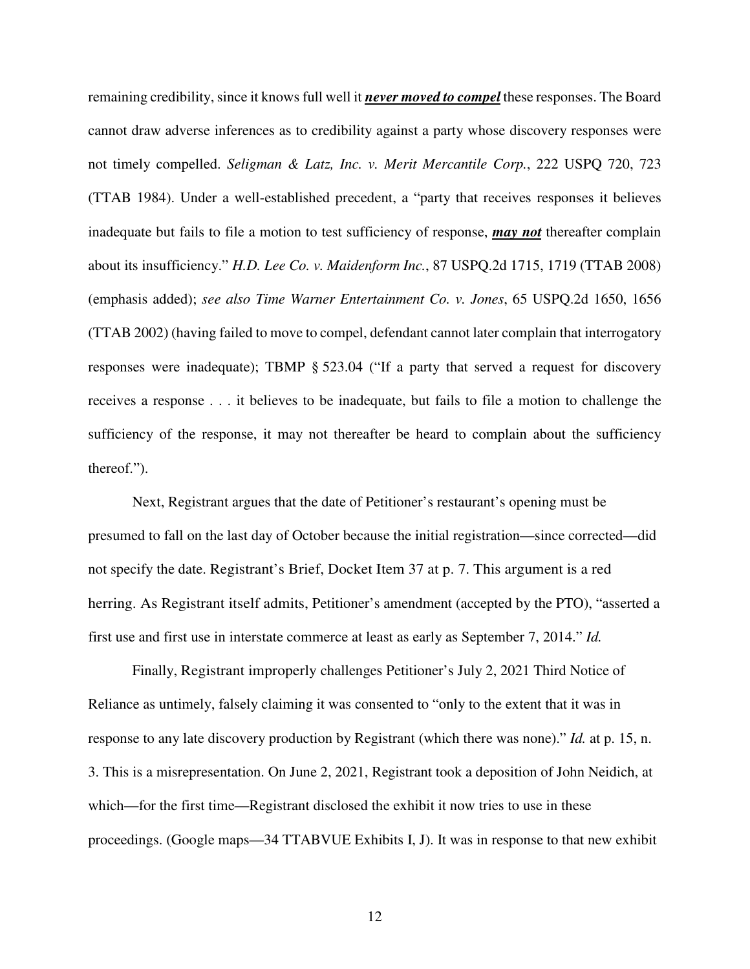remaining credibility, since it knows full well it *never moved to compel* these responses. The Board cannot draw adverse inferences as to credibility against a party whose discovery responses were not timely compelled. *Seligman & Latz, Inc. v. Merit Mercantile Corp.*, 222 USPQ 720, 723 (TTAB 1984). Under a well-established precedent, a "party that receives responses it believes inadequate but fails to file a motion to test sufficiency of response, *may not* thereafter complain about its insufficiency." *H.D. Lee Co. v. Maidenform Inc.*, 87 USPQ.2d 1715, 1719 (TTAB 2008) (emphasis added); *see also Time Warner Entertainment Co. v. Jones*, 65 USPQ.2d 1650, 1656 (TTAB 2002) (having failed to move to compel, defendant cannot later complain that interrogatory responses were inadequate); TBMP § 523.04 ("If a party that served a request for discovery receives a response . . . it believes to be inadequate, but fails to file a motion to challenge the sufficiency of the response, it may not thereafter be heard to complain about the sufficiency thereof.").

Next, Registrant argues that the date of Petitioner's restaurant's opening must be presumed to fall on the last day of October because the initial registration—since corrected—did not specify the date. Registrant's Brief, Docket Item 37 at p. 7. This argument is a red herring. As Registrant itself admits, Petitioner's amendment (accepted by the PTO), "asserted a first use and first use in interstate commerce at least as early as September 7, 2014." *Id.* 

Finally, Registrant improperly challenges Petitioner's July 2, 2021 Third Notice of Reliance as untimely, falsely claiming it was consented to "only to the extent that it was in response to any late discovery production by Registrant (which there was none)." *Id.* at p. 15, n. 3. This is a misrepresentation. On June 2, 2021, Registrant took a deposition of John Neidich, at which—for the first time—Registrant disclosed the exhibit it now tries to use in these proceedings. (Google maps—34 TTABVUE Exhibits I, J). It was in response to that new exhibit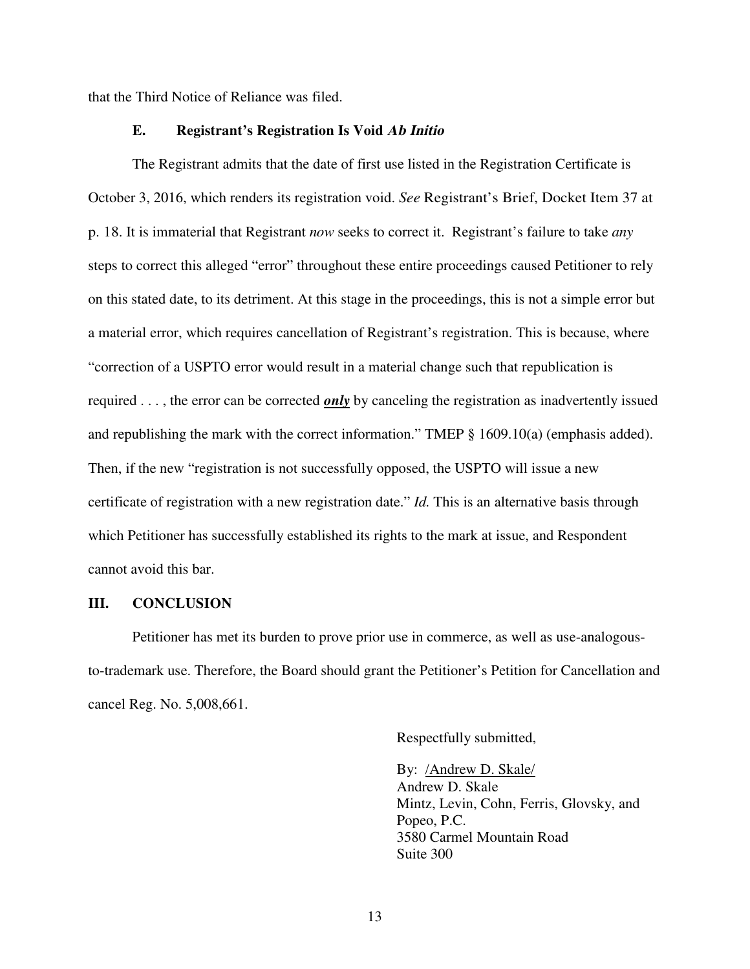that the Third Notice of Reliance was filed.

### **E. Registrant's Registration Is Void Ab Initio**

The Registrant admits that the date of first use listed in the Registration Certificate is October 3, 2016, which renders its registration void. *See* Registrant's Brief, Docket Item 37 at p. 18. It is immaterial that Registrant *now* seeks to correct it. Registrant's failure to take *any* steps to correct this alleged "error" throughout these entire proceedings caused Petitioner to rely on this stated date, to its detriment. At this stage in the proceedings, this is not a simple error but a material error, which requires cancellation of Registrant's registration. This is because, where "correction of a USPTO error would result in a material change such that republication is required . . . , the error can be corrected *only* by canceling the registration as inadvertently issued and republishing the mark with the correct information." TMEP § 1609.10(a) (emphasis added). Then, if the new "registration is not successfully opposed, the USPTO will issue a new certificate of registration with a new registration date." *Id.* This is an alternative basis through which Petitioner has successfully established its rights to the mark at issue, and Respondent cannot avoid this bar.

## **III. CONCLUSION**

Petitioner has met its burden to prove prior use in commerce, as well as use-analogousto-trademark use. Therefore, the Board should grant the Petitioner's Petition for Cancellation and cancel Reg. No. 5,008,661.

Respectfully submitted,

By: /Andrew D. Skale/ Andrew D. Skale Mintz, Levin, Cohn, Ferris, Glovsky, and Popeo, P.C. 3580 Carmel Mountain Road Suite 300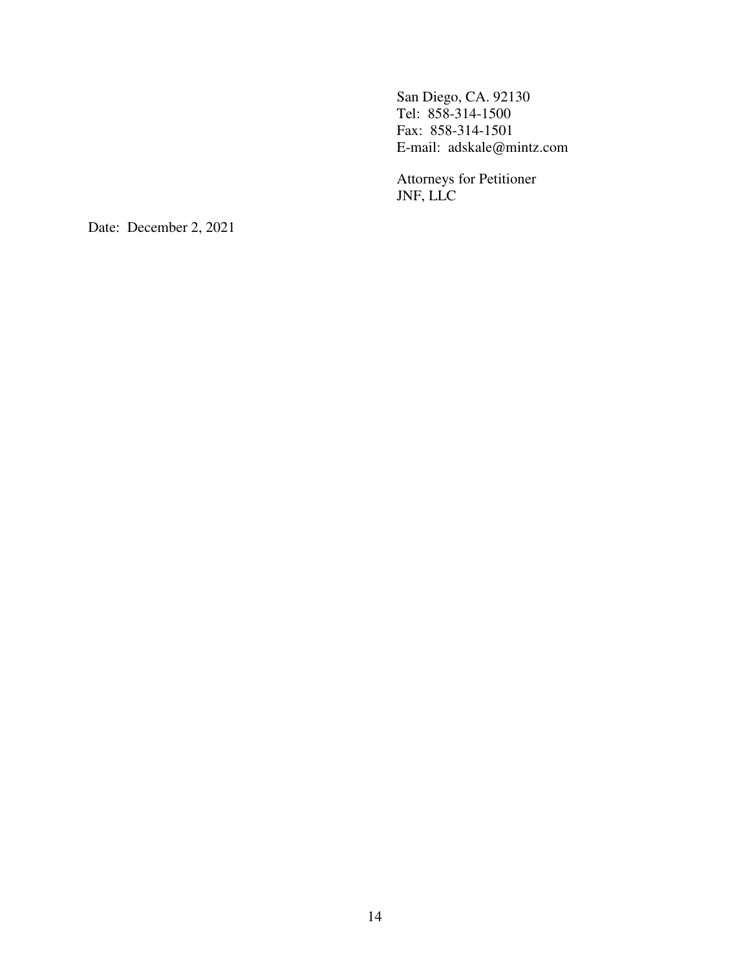San Diego, CA. 92130 Tel: 858-314-1500 Fax: 858-314-1501 E-mail: adskale@mintz.com

Attorneys for Petitioner JNF, LLC

Date: December 2, 2021